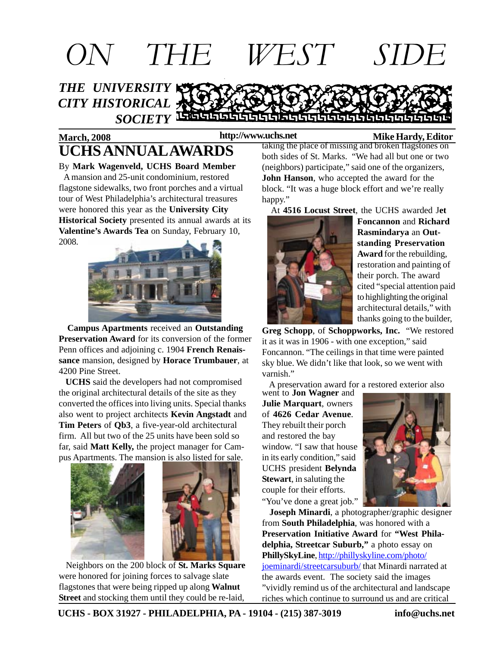

#### **March, 2008 Mike Hardy, Editor http://www.uchs.net UCHS ANNUAL AWARDS**

By **Mark Wagenveld, UCHS Board Member** A mansion and 25-unit condominium, restored flagstone sidewalks, two front porches and a virtual tour of West Philadelphia's architectural treasures were honored this year as the **University City Historical Society** presented its annual awards at its **Valentine's Awards Tea** on Sunday, February 10, 2008.



 **Campus Apartments** received an **Outstanding Preservation Award** for its conversion of the former Penn offices and adjoining c. 1904 **French Renaissance** mansion, designed by **Horace Trumbauer**, at 4200 Pine Street.

 **UCHS** said the developers had not compromised the original architectural details of the site as they converted the offices into living units. Special thanks also went to project architects **Kevin Angstadt** and **Tim Peters** of **Qb3**, a five-year-old architectural firm. All but two of the 25 units have been sold so far, said **Matt Kelly,** the project manager for Campus Apartments. The mansion is also listed for sale.



 Neighbors on the 200 block of **St. Marks Square** were honored for joining forces to salvage slate flagstones that were being ripped up along **Walnut Street** and stocking them until they could be re-laid,

taking the place of missing and broken flagstones on both sides of St. Marks. "We had all but one or two (neighbors) participate," said one of the organizers, **John Hanson**, who accepted the award for the block. "It was a huge block effort and we're really happy."

At **4516 Locust Street**, the UCHS awarded J**et**



**Foncannon** and **Richard Rasmindarya** an **Outstanding Preservation Award** for the rebuilding, restoration and painting of their porch. The award cited "special attention paid to highlighting the original architectural details," with thanks going to the builder,

**Greg Schopp**, of **Schoppworks, Inc.** "We restored it as it was in 1906 - with one exception," said Foncannon. "The ceilings in that time were painted sky blue. We didn't like that look, so we went with varnish."

A preservation award for a restored exterior also

went to **Jon Wagner** and **Julie Marquart**, owners of **4626 Cedar Avenue**. They rebuilt their porch and restored the bay window. "I saw that house in its early condition," said UCHS president **Belynda Stewart**, in saluting the couple for their efforts. "You've done a great job."



 **Joseph Minardi**, a photographer/graphic designer from **South Philadelphia**, was honored with a **Preservation Initiative Award** for **"West Philadelphia, Streetcar Suburb,"** a photo essay on **PhillySkyLine**, http://phillyskyline.com/photo/ joeminardi/streetcarsuburb/ that Minardi narrated at the awards event. The society said the images "vividly remind us of the architectural and landscape riches which continue to surround us and are critical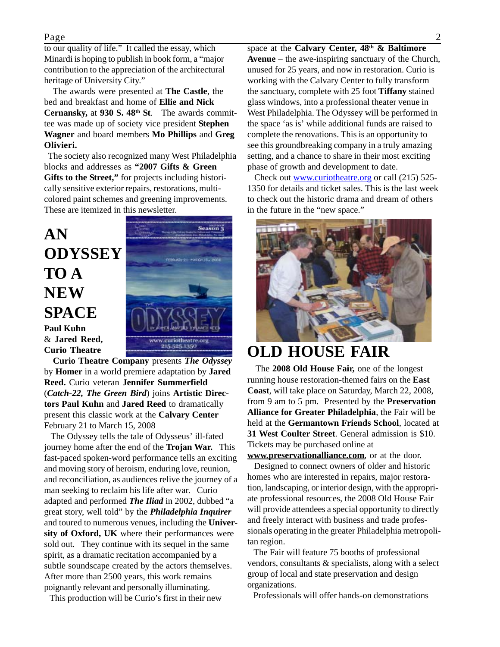#### Page 2

to our quality of life." It called the essay, which Minardi is hoping to publish in book form, a "major contribution to the appreciation of the architectural heritage of University City."

 The awards were presented at **The Castle**, the bed and breakfast and home of **Ellie and Nick Cernansky,** at **930 S. 48th St**. The awards committee was made up of society vice president **Stephen Wagner** and board members **Mo Phillips** and **Greg Olivieri.**

 The society also recognized many West Philadelphia blocks and addresses as **"2007 Gifts & Green Gifts to the Street,"** for projects including historically sensitive exterior repairs, restorations, multicolored paint schemes and greening improvements. These are itemized in this newsletter.

### **AN ODYSSEY TO A NEW SPACE Paul Kuhn**

Season<sub>3</sub> **COLLEGE OUTER COUNT** www.curiotheatre.org 215-525.1350

& **Jared Reed, Curio Theatre Curio Theatre Company** presents *The Odyssey* by **Homer** in a world premiere adaptation by **Jared Reed.** Curio veteran **Jennifer Summerfield** (*Catch-22, The Green Bird*) joins **Artistic Directors Paul Kuhn** and **Jared Reed** to dramatically

present this classic work at the **Calvary Center** February 21 to March 15, 2008 The Odyssey tells the tale of Odysseus' ill-fated

journey home after the end of the **Trojan War.** This fast-paced spoken-word performance tells an exciting and moving story of heroism, enduring love, reunion, and reconciliation, as audiences relive the journey of a man seeking to reclaim his life after war. Curio adapted and performed *The Iliad* in 2002, dubbed "a great story, well told" by the *Philadelphia Inquirer* and toured to numerous venues, including the **University of Oxford, UK** where their performances were sold out. They continue with its sequel in the same spirit, as a dramatic recitation accompanied by a subtle soundscape created by the actors themselves. After more than 2500 years, this work remains poignantly relevant and personally illuminating.

This production will be Curio's first in their new

space at the **Calvary Center, 48th & Baltimore Avenue** – the awe-inspiring sanctuary of the Church, unused for 25 years, and now in restoration. Curio is working with the Calvary Center to fully transform the sanctuary, complete with 25 foot **Tiffany** stained glass windows, into a professional theater venue in West Philadelphia. The Odyssey will be performed in the space 'as is' while additional funds are raised to complete the renovations. This is an opportunity to see this groundbreaking company in a truly amazing setting, and a chance to share in their most exciting phase of growth and development to date.

 Check out www.curiotheatre.org or call (215) 525- 1350 for details and ticket sales. This is the last week to check out the historic drama and dream of others in the future in the "new space."



#### **OLD HOUSE FAIR**

 The **2008 Old House Fair,** one of the longest running house restoration-themed fairs on the **East Coast**, will take place on Saturday, March 22, 2008, from 9 am to 5 pm. Presented by the **Preservation Alliance for Greater Philadelphia**, the Fair will be held at the **Germantown Friends School**, located at **31 West Coulter Street**. General admission is \$10. Tickets may be purchased online at

**www.preservationalliance.com**, or at the door. Designed to connect owners of older and historic homes who are interested in repairs, major restoration, landscaping, or interior design, with the appropriate professional resources, the 2008 Old House Fair will provide attendees a special opportunity to directly and freely interact with business and trade professionals operating in the greater Philadelphia metropolitan region.

 The Fair will feature 75 booths of professional vendors, consultants & specialists, along with a select group of local and state preservation and design organizations.

Professionals will offer hands-on demonstrations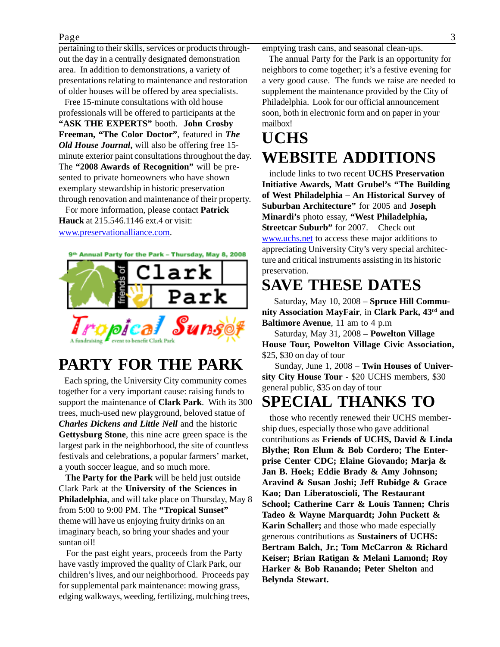#### Page 3

pertaining to their skills, services or products throughout the day in a centrally designated demonstration area. In addition to demonstrations, a variety of presentations relating to maintenance and restoration of older houses will be offered by area specialists.

 Free 15-minute consultations with old house professionals will be offered to participants at the **"ASK THE EXPERTS"** booth. **John Crosby Freeman, "The Color Doctor"**, featured in *The Old House Journal***,** will also be offering free 15 minute exterior paint consultations throughout the day. The **"2008 Awards of Recognition"** will be presented to private homeowners who have shown exemplary stewardship in historic preservation through renovation and maintenance of their property.

 For more information, please contact **Patrick Hauck** at 215.546.1146 ext.4 or visit: www.preservationalliance.com.

9th Annual Party for the Park - Thursday, May 8, 2008



### **PARTY FOR THE PARK**

 Each spring, the University City community comes together for a very important cause: raising funds to support the maintenance of **Clark Park**. With its 300 trees, much-used new playground, beloved statue of *Charles Dickens and Little Nell* and the historic **Gettysburg Stone**, this nine acre green space is the largest park in the neighborhood, the site of countless festivals and celebrations, a popular farmers' market, a youth soccer league, and so much more.

 **The Party for the Park** will be held just outside Clark Park at the **University of the Sciences in Philadelphia**, and will take place on Thursday, May 8 from 5:00 to 9:00 PM. The **"Tropical Sunset"** theme will have us enjoying fruity drinks on an imaginary beach, so bring your shades and your suntan oil!

 For the past eight years, proceeds from the Party have vastly improved the quality of Clark Park, our children's lives, and our neighborhood. Proceeds pay for supplemental park maintenance: mowing grass, edging walkways, weeding, fertilizing, mulching trees, emptying trash cans, and seasonal clean-ups.

 The annual Party for the Park is an opportunity for neighbors to come together; it's a festive evening for a very good cause. The funds we raise are needed to supplement the maintenance provided by the City of Philadelphia. Look for our official announcement soon, both in electronic form and on paper in your mailbox!

## **UCHS WEBSITE ADDITIONS**

 include links to two recent **UCHS Preservation Initiative Awards, Matt Grubel's "The Building of West Philadelphia – An Historical Survey of Suburban Architecture"** for 2005 and **Joseph Minardi's** photo essay, **"West Philadelphia, Streetcar Suburb"** for 2007. Check out www.uchs.net to access these major additions to appreciating University City's very special architecture and critical instruments assisting in its historic preservation.

### **SAVE THESE DATES**

 Saturday, May 10, 2008 – **Spruce Hill Community Association MayFair**, in **Clark Park, 43rd and Baltimore Avenue**, 11 am to 4 p.m

 Saturday, May 31, 2008 – **Powelton Village House Tour, Powelton Village Civic Association,** \$25, \$30 on day of tour

 Sunday, June 1, 2008 – **Twin Houses of University City House Tour** - \$20 UCHS members, \$30 general public, \$35 on day of tour

## **SPECIAL THANKS TO**

 those who recently renewed their UCHS membership dues, especially those who gave additional contributions as **Friends of UCHS, David & Linda Blythe; Ron Elum & Bob Cordero; The Enterprise Center CDC; Elaine Giovando; Marja & Jan B. Hoek; Eddie Brady & Amy Johnson; Aravind & Susan Joshi; Jeff Rubidge & Grace Kao; Dan Liberatoscioli, The Restaurant School; Catherine Carr & Louis Tannen; Chris Tadeo & Wayne Marquardt; John Puckett & Karin Schaller;** and those who made especially generous contributions as **Sustainers of UCHS: Bertram Balch, Jr.; Tom McCarron & Richard Keiser; Brian Ratigan & Melani Lamond; Roy Harker & Bob Ranando; Peter Shelton** and **Belynda Stewart.**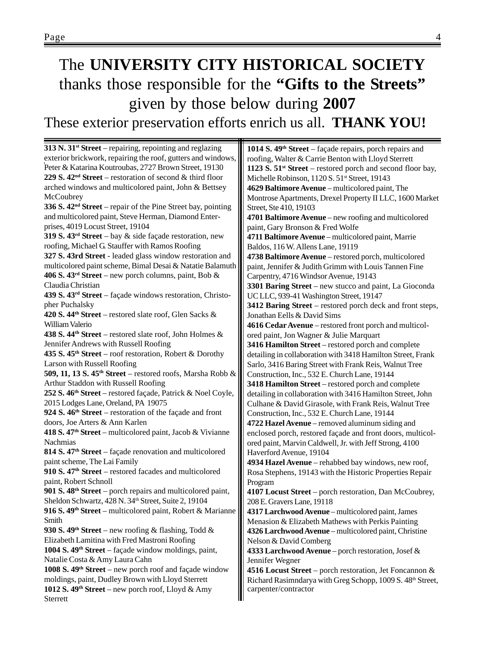## The **UNIVERSITY CITY HISTORICAL SOCIETY** thanks those responsible for the **"Gifts to the Streets"** given by those below during **2007** These exterior preservation efforts enrich us all. **THANK YOU!**

**313 N. 31st Street** – repairing, repointing and reglazing exterior brickwork, repairing the roof, gutters and windows, Peter & Katarina Koutroubas, 2727 Brown Street, 19130 **229 S. 42nd Street** – restoration of second & third floor arched windows and multicolored paint, John & Bettsey **McCoubrey 336 S. 42nd Street** – repair of the Pine Street bay, pointing and multicolored paint, Steve Herman, Diamond Enterprises, 4019 Locust Street, 19104 **319 S. 43rd Street** – bay & side façade restoration, new roofing, Michael G. Stauffer with Ramos Roofing **327 S. 43rd Street** - leaded glass window restoration and multicolored paint scheme, Bimal Desai & Natatie Balamuth **406 S. 43rd Street** – new porch columns, paint, Bob & Claudia Christian **439 S. 43rd Street** – façade windows restoration, Christopher Puchalsky **420 S. 44th Street** – restored slate roof, Glen Sacks & William Valerio **438 S. 44th Street** – restored slate roof, John Holmes & Jennifer Andrews with Russell Roofing **435 S. 45th Street** – roof restoration, Robert & Dorothy Larson with Russell Roofing **509, 11, 13 S. 45th Street** – restored roofs, Marsha Robb & Arthur Staddon with Russell Roofing **252 S. 46th Street** – restored façade, Patrick & Noel Coyle, 2015 Lodges Lane, Oreland, PA 19075 **924 S. 46th Street** – restoration of the façade and front doors, Joe Arters & Ann Karlen **418 S. 47th Street** – multicolored paint, Jacob & Vivianne Nachmias **814 S. 47th Street** – façade renovation and multicolored paint scheme, The Lai Family **910 S. 47th Street** – restored facades and multicolored paint, Robert Schnoll **901 S. 48th Street** – porch repairs and multicolored paint, Sheldon Schwartz, 428 N. 34<sup>th</sup> Street, Suite 2, 19104 **916 S. 49th Street** – multicolored paint, Robert & Marianne Smith **930 S. 49th Street** – new roofing & flashing, Todd & Elizabeth Lamitina with Fred Mastroni Roofing **1004 S. 49th Street** – façade window moldings, paint, Natalie Costa & Amy Laura Cahn **1008 S. 49th Street** – new porch roof and façade window moldings, paint, Dudley Brown with Lloyd Sterrett **1012 S. 49th Street** – new porch roof, Lloyd & Amy Sterrett **1014 S. 49th Street** – façade repairs, porch repairs and roofing, Walter & Carrie Benton with Lloyd Sterrett **1123 S. 51st Street** – restored porch and second floor bay, Michelle Robinson, 1120 S. 51<sup>st</sup> Street, 19143 **4629 Baltimore Avenue** – multicolored paint, The Montrose Apartments, Drexel Property II LLC, 1600 Market Street, Ste 410, 19103 **4701 Baltimore Avenue** – new roofing and multicolored paint, Gary Bronson & Fred Wolfe **4711 Baltimore Avenue** – multicolored paint, Marrie Baldos, 116 W. Allens Lane, 19119 **4738 Baltimore Avenue** – restored porch, multicolored paint, Jennifer & Judith Grimm with Louis Tannen Fine Carpentry, 4716 Windsor Avenue, 19143 **3301 Baring Street** – new stucco and paint, La Gioconda UC LLC, 939-41 Washington Street, 19147 **3412 Baring Street** – restored porch deck and front steps, Jonathan Eells & David Sims **4616 Cedar Avenue** – restored front porch and multicolored paint, Jon Wagner & Julie Marquart **3416 Hamilton Street** – restored porch and complete detailing in collaboration with 3418 Hamilton Street, Frank Sarlo, 3416 Baring Street with Frank Reis, Walnut Tree Construction, Inc., 532 E. Church Lane, 19144 **3418 Hamilton Street** – restored porch and complete detailing in collaboration with 3416 Hamilton Street, John Culhane & David Girasole, with Frank Reis, Walnut Tree Construction, Inc., 532 E. Church Lane, 19144 **4722 Hazel Avenue** – removed aluminum siding and enclosed porch, restored façade and front doors, multicolored paint, Marvin Caldwell, Jr. with Jeff Strong, 4100 Haverford Avenue, 19104 **4934 Hazel Avenue** – rehabbed bay windows, new roof, Rosa Stephens, 19143 with the Historic Properties Repair Program **4107 Locust Street** – porch restoration, Dan McCoubrey, 208 E. Gravers Lane, 19118 **4317 Larchwood Avenue** – multicolored paint, James Menasion & Elizabeth Mathews with Perkis Painting **4326 Larchwood Avenue** – multicolored paint, Christine Nelson & David Comberg **4333 Larchwood Avenue** – porch restoration, Josef & Jennifer Wegner **4516 Locust Street** – porch restoration, Jet Foncannon & Richard Rasimndarya with Greg Schopp, 1009 S. 48<sup>th</sup> Street, carpenter/contractor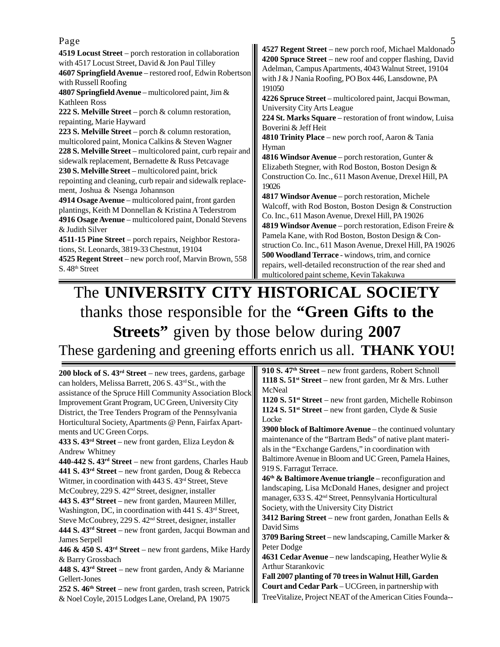| Page                                                                                                                                                                                                                                                                                                                                                                                                                                                                                                                                                                                                                                                                                                                                                                                                                                                                                                                                                                                                                                                                                                                                                       |                                                                                                                                                                                                                                                                                                                                                                                                                                                                                                                                                                                                                                                                                                                                                                                                                                                                                                                                                                                                                                                                                                                                                                                                    |
|------------------------------------------------------------------------------------------------------------------------------------------------------------------------------------------------------------------------------------------------------------------------------------------------------------------------------------------------------------------------------------------------------------------------------------------------------------------------------------------------------------------------------------------------------------------------------------------------------------------------------------------------------------------------------------------------------------------------------------------------------------------------------------------------------------------------------------------------------------------------------------------------------------------------------------------------------------------------------------------------------------------------------------------------------------------------------------------------------------------------------------------------------------|----------------------------------------------------------------------------------------------------------------------------------------------------------------------------------------------------------------------------------------------------------------------------------------------------------------------------------------------------------------------------------------------------------------------------------------------------------------------------------------------------------------------------------------------------------------------------------------------------------------------------------------------------------------------------------------------------------------------------------------------------------------------------------------------------------------------------------------------------------------------------------------------------------------------------------------------------------------------------------------------------------------------------------------------------------------------------------------------------------------------------------------------------------------------------------------------------|
| 4519 Locust Street – porch restoration in collaboration<br>with 4517 Locust Street, David & Jon Paul Tilley<br>4607 Springfield Avenue - restored roof, Edwin Robertson<br>with Russell Roofing<br>4807 Springfield Avenue – multicolored paint, Jim $\&$<br>Kathleen Ross<br>222 S. Melville Street - porch & column restoration,<br>repainting, Marie Hayward<br>223 S. Melville Street – porch $\&$ column restoration,<br>multicolored paint, Monica Calkins & Steven Wagner<br>228 S. Melville Street – multicolored paint, curb repair and<br>sidewalk replacement, Bernadette & Russ Petcavage<br>230 S. Melville Street – multicolored paint, brick<br>repointing and cleaning, curb repair and sidewalk replace-<br>ment, Joshua & Nsenga Johannson<br>4914 Osage Avenue – multicolored paint, front garden<br>plantings, Keith M Donnellan & Kristina A Tederstrom<br>4916 Osage Avenue – multicolored paint, Donald Stevens<br>& Judith Silver<br>4511-15 Pine Street – porch repairs, Neighbor Restora-<br>tions, St. Leonards, 3819-33 Chestnut, 19104<br>4525 Regent Street – new porch roof, Marvin Brown, 558<br>S.48 <sup>th</sup> Street | 4527 Regent Street – new porch roof, Michael Maldonado<br>4200 Spruce Street – new roof and copper flashing, David<br>Adelman, Campus Apartments, 4043 Walnut Street, 19104<br>with J & J Nania Roofing, PO Box 446, Lansdowne, PA<br>191050<br>4226 Spruce Street – multicolored paint, Jacqui Bowman,<br>University City Arts League<br>224 St. Marks Square – restoration of front window, Luisa<br>Boverini & Jeff Heit<br>4810 Trinity Place - new porch roof, Aaron & Tania<br>Hyman<br>4816 Windsor Avenue – porch restoration, Gunter $\&$<br>Elizabeth Stegner, with Rod Boston, Boston Design &<br>Construction Co. Inc., 611 Mason Avenue, Drexel Hill, PA<br>19026<br>4817 Windsor Avenue – porch restoration, Michele<br>Walcoff, with Rod Boston, Boston Design & Construction<br>Co. Inc., 611 Mason Avenue, Drexel Hill, PA 19026<br>4819 Windsor Avenue – porch restoration, Edison Freire &<br>Pamela Kane, with Rod Boston, Boston Design & Con-<br>struction Co. Inc., 611 Mason Avenue, Drexel Hill, PA 19026<br>500 Woodland Terrace - windows, trim, and cornice<br>repairs, well-detailed reconstruction of the rear shed and<br>multicolored paint scheme, Kevin Takakuwa |

## The **UNIVERSITY CITY HISTORICAL SOCIETY** thanks those responsible for the **"Green Gifts to the Streets"** given by those below during **2007** These gardening and greening efforts enrich us all. **THANK YOU!**

| 200 block of S. $43rd$ Street – new trees, gardens, garbage                    | 910 S. $47th$ Street – new front gardens, Robert Schnoll                |
|--------------------------------------------------------------------------------|-------------------------------------------------------------------------|
| can holders, Melissa Barrett, 206 S. 43 <sup>rd</sup> St., with the            | 1118 S. $51$ <sup>st</sup> Street – new front garden, Mr & Mrs. Luther  |
| assistance of the Spruce Hill Community Association Block                      | McNeal                                                                  |
| Improvement Grant Program, UC Green, University City                           | 1120 S. $51$ <sup>st</sup> Street – new front garden, Michelle Robinson |
| District, the Tree Tenders Program of the Pennsylvania                         | 1124 S. $51$ <sup>st</sup> Street – new front garden, Clyde & Susie     |
| Horticultural Society, Apartments @ Penn, Fairfax Apart-                       | Locke                                                                   |
| ments and UC Green Corps.                                                      | 3900 block of Baltimore Avenue - the continued voluntary                |
| 433 S. $43rd$ Street – new front garden, Eliza Leydon &                        | maintenance of the "Bartram Beds" of native plant materi-               |
| Andrew Whitney                                                                 | als in the "Exchange Gardens," in coordination with                     |
| $440-442$ S. $43rd$ Street – new front gardens, Charles Haub                   | Baltimore Avenue in Bloom and UC Green, Pamela Haines,                  |
| 441 S. $43rd$ Street – new front garden, Doug & Rebecca                        | 919 S. Farragut Terrace.                                                |
| Witmer, in coordination with 443 S. 43rd Street, Steve                         | $46th$ & Baltimore Avenue triangle – reconfiguration and                |
| McCoubrey, 229 S. 42 <sup>nd</sup> Street, designer, installer                 | landscaping, Lisa McDonald Hanes, designer and project                  |
| 443 S. 43 <sup>rd</sup> Street – new front garden, Maureen Miller,             | manager, 633 S. 42 <sup>nd</sup> Street, Pennsylvania Horticultural     |
| Washington, DC, in coordination with 441 S. 43 <sup>rd</sup> Street,           | Society, with the University City District                              |
| Steve McCoubrey, 229 S. 42 <sup>nd</sup> Street, designer, installer           | 3412 Baring Street – new front garden, Jonathan Eells $\&$              |
| 444 S. 43 <sup>rd</sup> Street – new front garden, Jacqui Bowman and           | David Sims                                                              |
| <b>James Serpell</b>                                                           | 3709 Baring Street – new landscaping, Camille Marker &                  |
| <b>446 &amp; 450 S. 43<sup>rd</sup> Street</b> – new front gardens, Mike Hardy | Peter Dodge                                                             |
| & Barry Grossbach                                                              | 4631 Cedar Avenue – new landscaping, Heather Wylie $\&$                 |
| 448 S. 43 <sup>rd</sup> Street – new front garden, Andy & Marianne             | <b>Arthur Starankovic</b>                                               |
| Gellert-Jones                                                                  | Fall 2007 planting of 70 trees in Walnut Hill, Garden                   |
| 252 S. $46th$ Street – new front garden, trash screen, Patrick                 | Court and Cedar Park - UCGreen, in partnership with                     |
| & Noel Coyle, 2015 Lodges Lane, Oreland, PA 19075                              | Tree Vitalize, Project NEAT of the American Cities Founda--             |